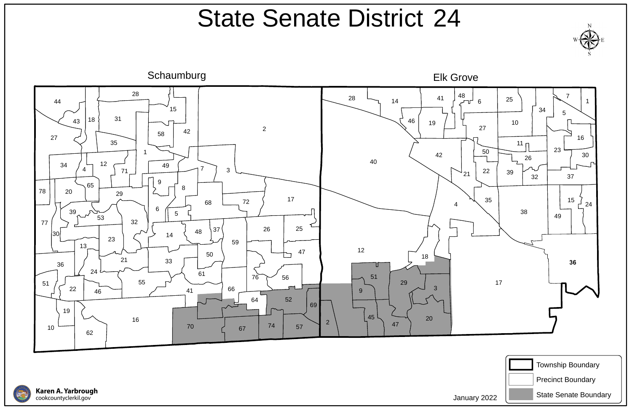







## State Senate District 24